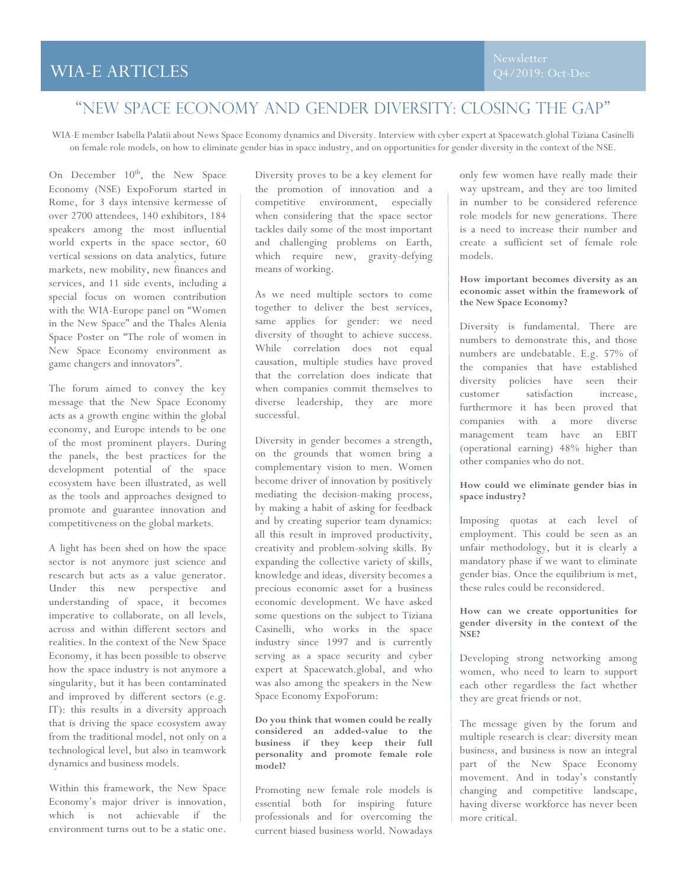# WIA-E ARTICLES

# "New space economy and gender diversity: Closing the gap"

WIA-E member Isabella Palatii about News Space Economy dynamics and Diversity. Interview with cyber expert at Spacewatch.global Tiziana Casinelli on female role models, on how to eliminate gender bias in space industry, and on opportunities for gender diversity in the context of the NSE.

On December  $10^{th}$ , the New Space Economy (NSE) ExpoForum started in Rome, for 3 days intensive kermesse of over 2700 attendees, 140 exhibitors, 184 speakers among the most influential world experts in the space sector, 60 vertical sessions on data analytics, future markets, new mobility, new finances and services, and 11 side events, including a special focus on women contribution with the WIA-Europe panel on "Women in the New Space" and the Thales Alenia Space Poster on "The role of women in New Space Economy environment as game changers and innovators".

The forum aimed to convey the key message that the New Space Economy acts as a growth engine within the global economy, and Europe intends to be one of the most prominent players. During the panels, the best practices for the development potential of the space ecosystem have been illustrated, as well as the tools and approaches designed to promote and guarantee innovation and competitiveness on the global markets.

A light has been shed on how the space sector is not anymore just science and research but acts as a value generator. Under this new perspective and understanding of space, it becomes imperative to collaborate, on all levels, across and within different sectors and realities. In the context of the New Space Economy, it has been possible to observe how the space industry is not anymore a singularity, but it has been contaminated and improved by different sectors (e.g. IT): this results in a diversity approach that is driving the space ecosystem away from the traditional model, not only on a technological level, but also in teamwork dynamics and business models.

Within this framework, the New Space Economy's major driver is innovation, which is not achievable if the environment turns out to be a static one.

Diversity proves to be a key element for the promotion of innovation and a competitive environment, especially when considering that the space sector tackles daily some of the most important and challenging problems on Earth, which require new, gravity-defying means of working.

As we need multiple sectors to come together to deliver the best services, same applies for gender: we need diversity of thought to achieve success. While correlation does not equal causation, multiple studies have proved that the correlation does indicate that when companies commit themselves to diverse leadership, they are more successful.

Diversity in gender becomes a strength, on the grounds that women bring a complementary vision to men. Women become driver of innovation by positively mediating the decision-making process, by making a habit of asking for feedback and by creating superior team dynamics: all this result in improved productivity, creativity and problem-solving skills. By expanding the collective variety of skills, knowledge and ideas, diversity becomes a precious economic asset for a business economic development. We have asked some questions on the subject to Tiziana Casinelli, who works in the space industry since 1997 and is currently serving as a space security and cyber expert at Spacewatch.global, and who was also among the speakers in the New Space Economy ExpoForum:

**Do you think that women could be really considered an added-value to the business if they keep their full personality and promote female role model?**

Promoting new female role models is essential both for inspiring future professionals and for overcoming the current biased business world. Nowadays only few women have really made their way upstream, and they are too limited in number to be considered reference role models for new generations. There is a need to increase their number and create a sufficient set of female role models.

### **How important becomes diversity as an economic asset within the framework of the New Space Economy?**

Diversity is fundamental. There are numbers to demonstrate this, and those numbers are undebatable. E.g. 57% of the companies that have established diversity policies have seen their customer satisfaction increase, furthermore it has been proved that companies with a more diverse management team have an EBIT (operational earning) 48% higher than other companies who do not.

### **How could we eliminate gender bias in space industry?**

Imposing quotas at each level of employment. This could be seen as an unfair methodology, but it is clearly a mandatory phase if we want to eliminate gender bias. Once the equilibrium is met, these rules could be reconsidered.

#### **How can we create opportunities for gender diversity in the context of the NSE?**

Developing strong networking among women, who need to learn to support each other regardless the fact whether they are great friends or not.

The message given by the forum and multiple research is clear: diversity mean business, and business is now an integral part of the New Space Economy movement. And in today's constantly changing and competitive landscape, having diverse workforce has never been more critical.